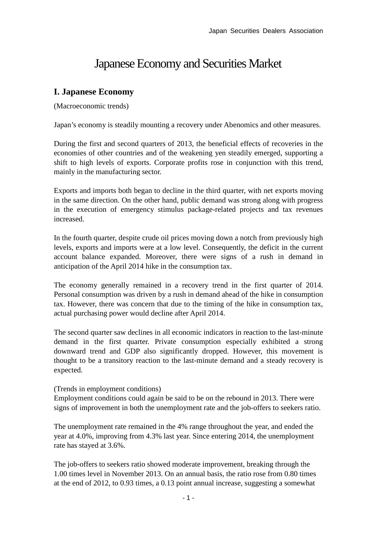# Japanese Economy and Securities Market

# **I. Japanese Economy**

(Macroeconomic trends)

Japan's economy is steadily mounting a recovery under Abenomics and other measures.

During the first and second quarters of 2013, the beneficial effects of recoveries in the economies of other countries and of the weakening yen steadily emerged, supporting a shift to high levels of exports. Corporate profits rose in conjunction with this trend, mainly in the manufacturing sector.

Exports and imports both began to decline in the third quarter, with net exports moving in the same direction. On the other hand, public demand was strong along with progress in the execution of emergency stimulus package-related projects and tax revenues increased.

In the fourth quarter, despite crude oil prices moving down a notch from previously high levels, exports and imports were at a low level. Consequently, the deficit in the current account balance expanded. Moreover, there were signs of a rush in demand in anticipation of the April 2014 hike in the consumption tax.

The economy generally remained in a recovery trend in the first quarter of 2014. Personal consumption was driven by a rush in demand ahead of the hike in consumption tax. However, there was concern that due to the timing of the hike in consumption tax, actual purchasing power would decline after April 2014.

The second quarter saw declines in all economic indicators in reaction to the last-minute demand in the first quarter. Private consumption especially exhibited a strong downward trend and GDP also significantly dropped. However, this movement is thought to be a transitory reaction to the last-minute demand and a steady recovery is expected.

# (Trends in employment conditions)

Employment conditions could again be said to be on the rebound in 2013. There were signs of improvement in both the unemployment rate and the job-offers to seekers ratio.

The unemployment rate remained in the 4% range throughout the year, and ended the year at 4.0%, improving from 4.3% last year. Since entering 2014, the unemployment rate has stayed at 3.6%.

The job-offers to seekers ratio showed moderate improvement, breaking through the 1.00 times level in November 2013. On an annual basis, the ratio rose from 0.80 times at the end of 2012, to 0.93 times, a 0.13 point annual increase, suggesting a somewhat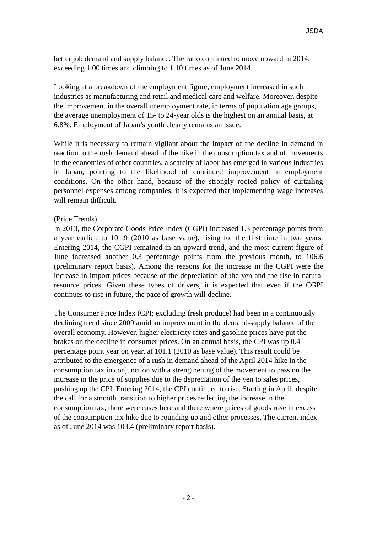better job demand and supply balance. The ratio continued to move upward in 2014, exceeding 1.00 times and climbing to 1.10 times as of June 2014.

Looking at a breakdown of the employment figure, employment increased in such industries as manufacturing and retail and medical care and welfare. Moreover, despite the improvement in the overall unemployment rate, in terms of population age groups, the average unemployment of 15- to 24-year olds is the highest on an annual basis, at 6.8%. Employment of Japan's youth clearly remains an issue.

While it is necessary to remain vigilant about the impact of the decline in demand in reaction to the rush demand ahead of the hike in the consumption tax and of movements in the economies of other countries, a scarcity of labor has emerged in various industries in Japan, pointing to the likelihood of continued improvement in employment conditions. On the other hand, because of the strongly rooted policy of curtailing personnel expenses among companies, it is expected that implementing wage increases will remain difficult.

#### (Price Trends)

In 2013, the Corporate Goods Price Index (CGPI) increased 1.3 percentage points from a year earlier, to 101.9 (2010 as base value), rising for the first time in two years. Entering 2014, the CGPI remained in an upward trend, and the most current figure of June increased another 0.3 percentage points from the previous month, to 106.6 (preliminary report basis). Among the reasons for the increase in the CGPI were the increase in import prices because of the depreciation of the yen and the rise in natural resource prices. Given these types of drivers, it is expected that even if the CGPI continues to rise in future, the pace of growth will decline.

The Consumer Price Index (CPI; excluding fresh produce) had been in a continuously declining trend since 2009 amid an improvement in the demand-supply balance of the overall economy. However, higher electricity rates and gasoline prices have put the brakes on the decline in consumer prices. On an annual basis, the CPI was up 0.4 percentage point year on year, at 101.1 (2010 as base value). This result could be attributed to the emergence of a rush in demand ahead of the April 2014 hike in the consumption tax in conjunction with a strengthening of the movement to pass on the increase in the price of supplies due to the depreciation of the yen to sales prices, pushing up the CPI. Entering 2014, the CPI continued to rise. Starting in April, despite the call for a smooth transition to higher prices reflecting the increase in the consumption tax, there were cases here and there where prices of goods rose in excess of the consumption tax hike due to rounding up and other processes. The current index as of June 2014 was 103.4 (preliminary report basis).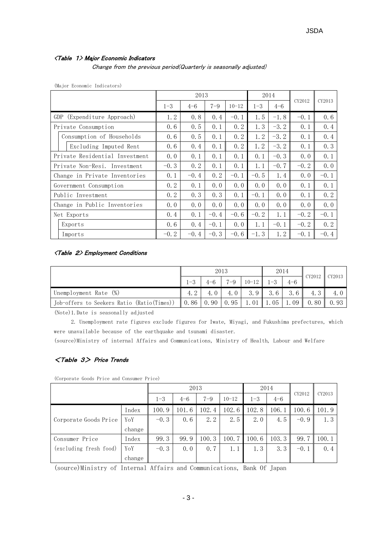#### <Table 1> Major Economic Indicators

Change from the previous period(Quarterly is seasonally adjusted)

|  |  | (Major Economic Indicators) |
|--|--|-----------------------------|
|--|--|-----------------------------|

|                                |         | 2013    |         |           |         | 2014    |        |        |
|--------------------------------|---------|---------|---------|-----------|---------|---------|--------|--------|
|                                | $1 - 3$ | $4 - 6$ | $7 - 9$ | $10 - 12$ | $1 - 3$ | $4 - 6$ | CY2012 | CY2013 |
| GDP<br>(Expenditure Approach)  | 1.2     | 0.8     | 0.4     | $-0.1$    | 1.5     | $-1.8$  | $-0.1$ | 0.6    |
| Private Consumption            | 0.6     | 0.5     | 0.1     | 0, 2      | 1.3     | $-3.2$  | 0.1    | 0.4    |
| Consumption of Households      | 0.6     | 0.5     | 0.1     | 0.2       | 1.2     | $-3.2$  | 0.1    | 0.4    |
| Excluding Imputed Rent         | 0.6     | 0.4     | 0.1     | 0.2       | 1.2     | $-3.2$  | 0.1    | 0.3    |
| Private Residential Investment | 0.0     | 0.1     | 0.1     | 0.1       | 0.1     | $-0.3$  | 0.0    | 0.1    |
| Private Non-Resi. Investment   | $-0.3$  | 0.2     | 0.1     | 0.1       | 1.1     | $-0.7$  | $-0.2$ | 0.0    |
| Change in Private Inventories  | 0.1     | $-0.4$  | 0.2     | $-0.1$    | $-0.5$  | 1.4     | 0.0    | $-0.1$ |
| Government Consumption         | 0.2     | 0.1     | 0.0     | 0, 0      | 0.0     | 0, 0    | 0.1    | 0.1    |
| Public Investment              | 0.2     | 0.3     | 0.3     | 0.1       | $-0.1$  | 0.0     | 0.1    | 0.2    |
| Change in Public Inventories   | 0.0     | 0.0     | 0.0     | 0.0       | 0.0     | 0.0     | 0.0    | 0.0    |
| Net Exports                    | 0.4     | 0.1     | $-0.4$  | $-0.6$    | $-0.2$  | 1.1     | $-0.2$ | $-0.1$ |
| Exports                        | 0.6     | 0.4     | $-0.1$  | 0.0       | 1.1     | $-0.1$  | $-0.2$ | 0.2    |
| Imports                        | $-0.2$  | $-0.4$  | $-0.3$  | $-0.6$    | $-1.3$  | 1.2     | $-0.1$ | $-0.4$ |

#### <Table 2> Employment Conditions

|                                                             |    |      | 2013    |           | 2014    |         | CY2012 | $\blacksquare$ CY2013 |
|-------------------------------------------------------------|----|------|---------|-----------|---------|---------|--------|-----------------------|
|                                                             | -3 |      | $7 - 9$ | $10 - 12$ | $1 - 3$ | $4 - 6$ |        |                       |
| Unemployment Rate (%)                                       |    |      | 4.0     | 3.9       | 3.6     | 3.6     |        |                       |
| Job-offers to Seekers Ratio (Ratio(Times)) $\parallel$ 0.86 |    | 0.90 | 0.95    | 01        | . 05    | -09     | 0.80   | 0.93                  |

(Note)1.Date is seasonally adjusted

 2. Unemployment rate figures exclude figures for Iwate, Miyagi, and Fukushima prefectures, which were unavailable because of the earthquake and tsunami disaster.

(source)Ministry of internal Affairs and Communications, Ministry of Health, Labour and Welfare

#### <Table 3> Price Trends

(Corporate Goods Price and Consumer Price)

|                        |         | 2013    |         |           |         | 2014    |        | CY2013 |       |
|------------------------|---------|---------|---------|-----------|---------|---------|--------|--------|-------|
|                        | $1 - 3$ | $4 - 6$ | $7 - 9$ | $10 - 12$ | $1 - 3$ | $4 - 6$ | CY2012 |        |       |
|                        | Index   | 100.9   | 101.6   | 102.4     | 102.6   | 102.8   | 106.1  | 100.6  | 101.9 |
| Corporate Goods Price  | YoY     | $-0.3$  | 0.6     | 2.2       | 2.5     | 2.0     | 4.5    | $-0.9$ | 1.3   |
|                        | change  |         |         |           |         |         |        |        |       |
| Consumer Price         | Index   | 99.3    | 99.9    | 100.3     | 100.7   | 100.6   | 103.3  | 99.7   | 100.1 |
| (excluding fresh food) | YoY     | $-0.3$  | 0.0     | 0, 7      | 1.1     | 1.3     | 3.3    | $-0.1$ | 0.4   |
|                        | change  |         |         |           |         |         |        |        |       |

(source)Ministry of Internal Affairs and Communications, Bank Of Japan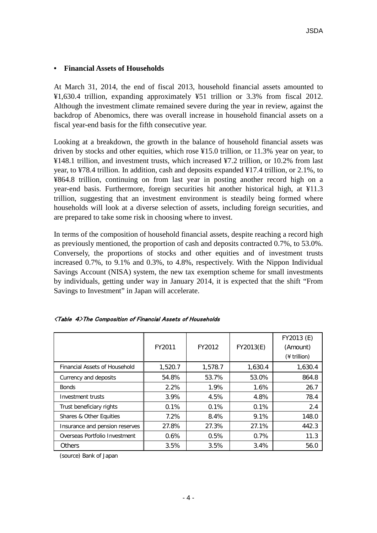### **• Financial Assets of Households**

At March 31, 2014, the end of fiscal 2013, household financial assets amounted to ¥1,630.4 trillion, expanding approximately ¥51 trillion or 3.3% from fiscal 2012. Although the investment climate remained severe during the year in review, against the backdrop of Abenomics, there was overall increase in household financial assets on a fiscal year-end basis for the fifth consecutive year.

Looking at a breakdown, the growth in the balance of household financial assets was driven by stocks and other equities, which rose ¥15.0 trillion, or 11.3% year on year, to ¥148.1 trillion, and investment trusts, which increased ¥7.2 trillion, or 10.2% from last year, to ¥78.4 trillion. In addition, cash and deposits expanded ¥17.4 trillion, or 2.1%, to ¥864.8 trillion, continuing on from last year in posting another record high on a year-end basis. Furthermore, foreign securities hit another historical high, at ¥11.3 trillion, suggesting that an investment environment is steadily being formed where households will look at a diverse selection of assets, including foreign securities, and are prepared to take some risk in choosing where to invest.

In terms of the composition of household financial assets, despite reaching a record high as previously mentioned, the proportion of cash and deposits contracted 0.7%, to 53.0%. Conversely, the proportions of stocks and other equities and of investment trusts increased 0.7%, to 9.1% and 0.3%, to 4.8%, respectively. With the Nippon Individual Savings Account (NISA) system, the new tax exemption scheme for small investments by individuals, getting under way in January 2014, it is expected that the shift "From Savings to Investment" in Japan will accelerate.

|                                      | FY2011  | FY2012  | FY2013(E) | FY2013 (E)<br>(Amount)<br>$(*)$ trillion) |
|--------------------------------------|---------|---------|-----------|-------------------------------------------|
| <b>Financial Assets of Household</b> | 1,520.7 | 1,578.7 | 1,630.4   | 1,630.4                                   |
| Currency and deposits                | 54.8%   | 53.7%   | 53.0%     | 864.8                                     |
| <b>Bonds</b>                         | 2.2%    | 1.9%    | 1.6%      | 26.7                                      |
| Investment trusts                    | 3.9%    | 4.5%    | 4.8%      | 78.4                                      |
| Trust beneficiary rights             | 0.1%    | 0.1%    | 0.1%      | 2.4                                       |
| Shares & Other Equities              | 7.2%    | 8.4%    | 9.1%      | 148.0                                     |
| Insurance and pension reserves       | 27.8%   | 27.3%   | 27.1%     | 442.3                                     |
| Overseas Portfolio Investment        | $0.6\%$ | 0.5%    | 0.7%      | 11.3                                      |
| Others                               | 3.5%    | 3.5%    | 3.4%      | 56.0                                      |

|  |  | <b><table 4="">The Composition of Financial Assets of Households</table></b> |
|--|--|------------------------------------------------------------------------------|
|  |  |                                                                              |

(source) Bank of Japan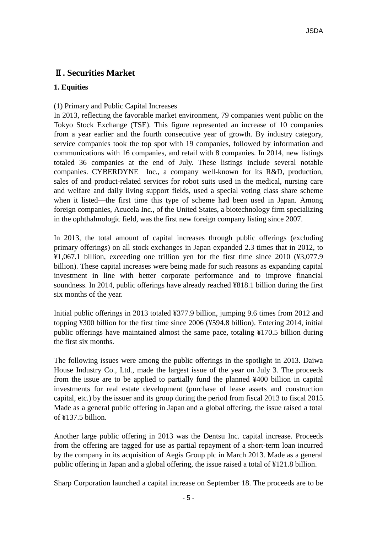# Ⅱ**. Securities Market**

# **1. Equities**

# (1) Primary and Public Capital Increases

In 2013, reflecting the favorable market environment, 79 companies went public on the Tokyo Stock Exchange (TSE). This figure represented an increase of 10 companies from a year earlier and the fourth consecutive year of growth. By industry category, service companies took the top spot with 19 companies, followed by information and communications with 16 companies, and retail with 8 companies. In 2014, new listings totaled 36 companies at the end of July. These listings include several notable companies. CYBERDYNE Inc., a company well-known for its R&D, production, sales of and product-related services for robot suits used in the medical, nursing care and welfare and daily living support fields, used a special voting class share scheme when it listed—the first time this type of scheme had been used in Japan. Among foreign companies, Acucela Inc., of the United States, a biotechnology firm specializing in the ophthalmologic field, was the first new foreign company listing since 2007.

In 2013, the total amount of capital increases through public offerings (excluding primary offerings) on all stock exchanges in Japan expanded 2.3 times that in 2012, to ¥1,067.1 billion, exceeding one trillion yen for the first time since 2010 (¥3,077.9 billion). These capital increases were being made for such reasons as expanding capital investment in line with better corporate performance and to improve financial soundness. In 2014, public offerings have already reached ¥818.1 billion during the first six months of the year.

Initial public offerings in 2013 totaled ¥377.9 billion, jumping 9.6 times from 2012 and topping ¥300 billion for the first time since 2006 (¥594.8 billion). Entering 2014, initial public offerings have maintained almost the same pace, totaling ¥170.5 billion during the first six months.

The following issues were among the public offerings in the spotlight in 2013. Daiwa House Industry Co., Ltd., made the largest issue of the year on July 3. The proceeds from the issue are to be applied to partially fund the planned ¥400 billion in capital investments for real estate development (purchase of lease assets and construction capital, etc.) by the issuer and its group during the period from fiscal 2013 to fiscal 2015. Made as a general public offering in Japan and a global offering, the issue raised a total of ¥137.5 billion.

Another large public offering in 2013 was the Dentsu Inc. capital increase. Proceeds from the offering are tagged for use as partial repayment of a short-term loan incurred by the company in its acquisition of Aegis Group plc in March 2013. Made as a general public offering in Japan and a global offering, the issue raised a total of ¥121.8 billion.

Sharp Corporation launched a capital increase on September 18. The proceeds are to be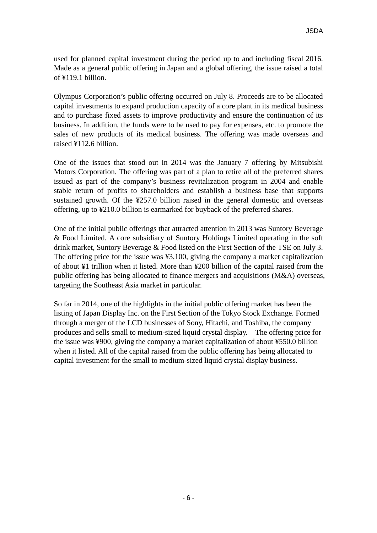used for planned capital investment during the period up to and including fiscal 2016. Made as a general public offering in Japan and a global offering, the issue raised a total of ¥119.1 billion.

Olympus Corporation's public offering occurred on July 8. Proceeds are to be allocated capital investments to expand production capacity of a core plant in its medical business and to purchase fixed assets to improve productivity and ensure the continuation of its business. In addition, the funds were to be used to pay for expenses, etc. to promote the sales of new products of its medical business. The offering was made overseas and raised ¥112.6 billion.

One of the issues that stood out in 2014 was the January 7 offering by Mitsubishi Motors Corporation. The offering was part of a plan to retire all of the preferred shares issued as part of the company's business revitalization program in 2004 and enable stable return of profits to shareholders and establish a business base that supports sustained growth. Of the ¥257.0 billion raised in the general domestic and overseas offering, up to ¥210.0 billion is earmarked for buyback of the preferred shares.

One of the initial public offerings that attracted attention in 2013 was Suntory Beverage & Food Limited. A core subsidiary of Suntory Holdings Limited operating in the soft drink market, Suntory Beverage & Food listed on the First Section of the TSE on July 3. The offering price for the issue was ¥3,100, giving the company a market capitalization of about ¥1 trillion when it listed. More than ¥200 billion of the capital raised from the public offering has being allocated to finance mergers and acquisitions (M&A) overseas, targeting the Southeast Asia market in particular.

So far in 2014, one of the highlights in the initial public offering market has been the listing of Japan Display Inc. on the First Section of the Tokyo Stock Exchange. Formed through a merger of the LCD businesses of Sony, Hitachi, and Toshiba, the company produces and sells small to medium-sized liquid crystal display. The offering price for the issue was ¥900, giving the company a market capitalization of about ¥550.0 billion when it listed. All of the capital raised from the public offering has being allocated to capital investment for the small to medium-sized liquid crystal display business.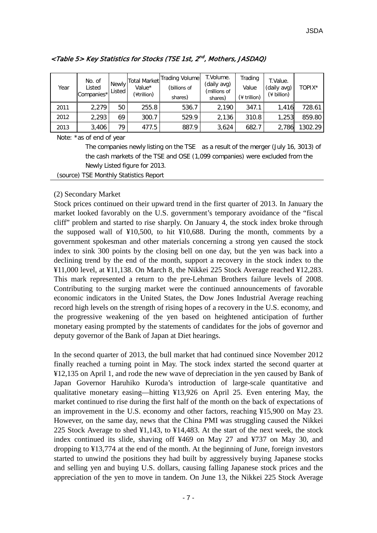| Year | No. of<br>Listed<br>Companies* | <b>Newly</b><br>Listed | <b>Total Market</b><br>Value*<br>(¥trillion) | Trading Volume<br>(billions of<br>shares) | T.Volume.<br>(daily avg)<br>(millions of<br>shares) | Trading<br>Value<br>$(*)$ trillion) | T.Value.<br>(daily avg)<br>$(*)$ billion) | TOPIX*  |
|------|--------------------------------|------------------------|----------------------------------------------|-------------------------------------------|-----------------------------------------------------|-------------------------------------|-------------------------------------------|---------|
| 2011 | 2,279                          | 50                     | 255.8                                        | 536.7                                     | 2,190                                               | 347.1                               | 1.416                                     | 728.61  |
| 2012 | 2,293                          | 69                     | 300.7                                        | 529.9                                     | 2,136                                               | 310.8                               | 1,253                                     | 859.80  |
| 2013 | 3,406                          | 79.                    | 477.5                                        | 887.9                                     | 3,624                                               | 682.7                               | 2,786                                     | 1302.29 |

# <Table 5> Key Statistics for Stocks (TSE 1st, 2n<sup>d</sup> , Mothers, JASDAQ)

Note: \*as of end of year

 The companies newly listing on the TSE as a result of the merger (July 16, 3013) of the cash markets of the TSE and OSE (1,099 companies) were excluded from the Newly Listed figure for 2013.

(source) TSE Monthly Statistics Report

#### (2) Secondary Market

Stock prices continued on their upward trend in the first quarter of 2013. In January the market looked favorably on the U.S. government's temporary avoidance of the "fiscal cliff" problem and started to rise sharply. On January 4, the stock index broke through the supposed wall of ¥10,500, to hit ¥10,688. During the month, comments by a government spokesman and other materials concerning a strong yen caused the stock index to sink 300 points by the closing bell on one day, but the yen was back into a declining trend by the end of the month, support a recovery in the stock index to the ¥11,000 level, at ¥11,138. On March 8, the Nikkei 225 Stock Average reached ¥12,283. This mark represented a return to the pre-Lehman Brothers failure levels of 2008. Contributing to the surging market were the continued announcements of favorable economic indicators in the United States, the Dow Jones Industrial Average reaching record high levels on the strength of rising hopes of a recovery in the U.S. economy, and the progressive weakening of the yen based on heightened anticipation of further monetary easing prompted by the statements of candidates for the jobs of governor and deputy governor of the Bank of Japan at Diet hearings.

In the second quarter of 2013, the bull market that had continued since November 2012 finally reached a turning point in May. The stock index started the second quarter at ¥12,135 on April 1, and rode the new wave of depreciation in the yen caused by Bank of Japan Governor Haruhiko Kuroda's introduction of large-scale quantitative and qualitative monetary easing—hitting ¥13,926 on April 25. Even entering May, the market continued to rise during the first half of the month on the back of expectations of an improvement in the U.S. economy and other factors, reaching ¥15,900 on May 23. However, on the same day, news that the China PMI was struggling caused the Nikkei 225 Stock Average to shed ¥1,143, to ¥14,483. At the start of the next week, the stock index continued its slide, shaving off ¥469 on May 27 and ¥737 on May 30, and dropping to ¥13,774 at the end of the month. At the beginning of June, foreign investors started to unwind the positions they had built by aggressively buying Japanese stocks and selling yen and buying U.S. dollars, causing falling Japanese stock prices and the appreciation of the yen to move in tandem. On June 13, the Nikkei 225 Stock Average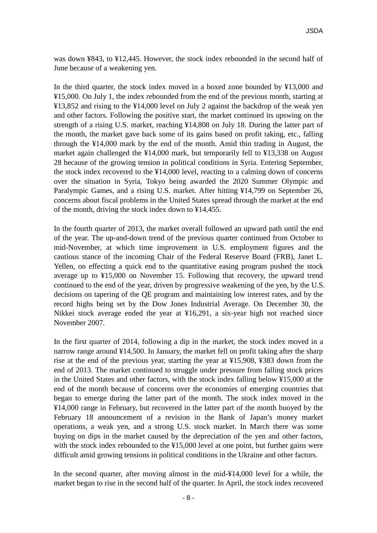was down ¥843, to ¥12,445. However, the stock index rebounded in the second half of June because of a weakening yen.

In the third quarter, the stock index moved in a boxed zone bounded by ¥13,000 and ¥15,000. On July 1, the index rebounded from the end of the previous month, starting at ¥13,852 and rising to the ¥14,000 level on July 2 against the backdrop of the weak yen and other factors. Following the positive start, the market continued its upswing on the strength of a rising U.S. market, reaching ¥14,808 on July 18. During the latter part of the month, the market gave back some of its gains based on profit taking, etc., falling through the ¥14,000 mark by the end of the month. Amid thin trading in August, the market again challenged the ¥14,000 mark, but temporarily fell to ¥13,338 on August 28 because of the growing tension in political conditions in Syria. Entering September, the stock index recovered to the ¥14,000 level, reacting to a calming down of concerns over the situation in Syria, Tokyo being awarded the 2020 Summer Olympic and Paralympic Games, and a rising U.S. market. After hitting ¥14,799 on September 26, concerns about fiscal problems in the United States spread through the market at the end of the month, driving the stock index down to ¥14,455.

In the fourth quarter of 2013, the market overall followed an upward path until the end of the year. The up-and-down trend of the previous quarter continued from October to mid-November, at which time improvement in U.S. employment figures and the cautious stance of the incoming Chair of the Federal Reserve Board (FRB), Janet L. Yellen, on effecting a quick end to the quantitative easing program pushed the stock average up to ¥15,000 on November 15. Following that recovery, the upward trend continued to the end of the year, driven by progressive weakening of the yen, by the U.S. decisions on tapering of the QE program and maintaining low interest rates, and by the record highs being set by the Dow Jones Industrial Average. On December 30, the Nikkei stock average ended the year at ¥16,291, a six-year high not reached since November 2007.

In the first quarter of 2014, following a dip in the market, the stock index moved in a narrow range around ¥14,500. In January, the market fell on profit taking after the sharp rise at the end of the previous year, starting the year at ¥15,908, ¥383 down from the end of 2013. The market continued to struggle under pressure from falling stock prices in the United States and other factors, with the stock index falling below ¥15,000 at the end of the month because of concerns over the economies of emerging countries that began to emerge during the latter part of the month. The stock index moved in the ¥14,000 range in February, but recovered in the latter part of the month buoyed by the February 18 announcement of a revision in the Bank of Japan's money market operations, a weak yen, and a strong U.S. stock market. In March there was some buying on dips in the market caused by the depreciation of the yen and other factors, with the stock index rebounded to the ¥15,000 level at one point, but further gains were difficult amid growing tensions in political conditions in the Ukraine and other factors.

In the second quarter, after moving almost in the mid-¥14,000 level for a while, the market began to rise in the second half of the quarter. In April, the stock index recovered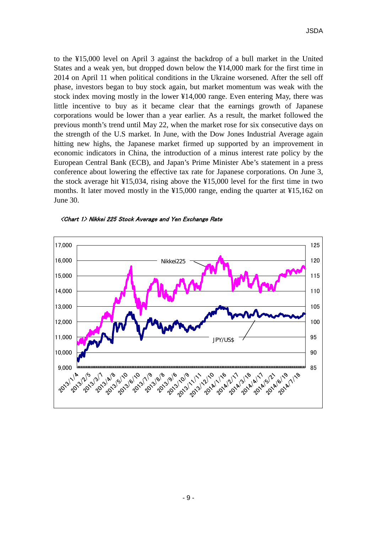to the ¥15,000 level on April 3 against the backdrop of a bull market in the United States and a weak yen, but dropped down below the ¥14,000 mark for the first time in 2014 on April 11 when political conditions in the Ukraine worsened. After the sell off phase, investors began to buy stock again, but market momentum was weak with the stock index moving mostly in the lower ¥14,000 range. Even entering May, there was little incentive to buy as it became clear that the earnings growth of Japanese corporations would be lower than a year earlier. As a result, the market followed the previous month's trend until May 22, when the market rose for six consecutive days on the strength of the U.S market. In June, with the Dow Jones Industrial Average again hitting new highs, the Japanese market firmed up supported by an improvement in economic indicators in China, the introduction of a minus interest rate policy by the European Central Bank (ECB), and Japan's Prime Minister Abe's statement in a press conference about lowering the effective tax rate for Japanese corporations. On June 3, the stock average hit  $\frac{1}{2}15,034$ , rising above the  $\frac{1}{2}15,000$  level for the first time in two months. It later moved mostly in the ¥15,000 range, ending the quarter at ¥15,162 on June 30.



<Chart 1> Nikkei 225 Stock Average and Yen Exchange Rate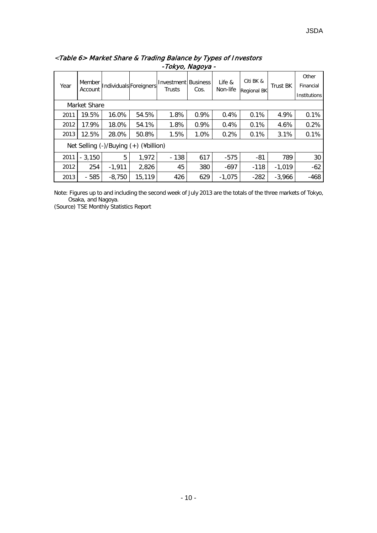|      | Member       |          |                                            | Citi BK &<br><b>Investment Business</b><br>Life & |      | Other    |                    |                 |              |
|------|--------------|----------|--------------------------------------------|---------------------------------------------------|------|----------|--------------------|-----------------|--------------|
| Year | Account      |          | Individuals Foreigners                     | Trusts                                            | Cos. | Non-life | <b>Regional BK</b> | <b>Trust BK</b> | Financial    |
|      |              |          |                                            |                                                   |      |          |                    |                 | Institutions |
|      | Market Share |          |                                            |                                                   |      |          |                    |                 |              |
| 2011 | 19.5%        | 16.0%    | 54.5%                                      | 1.8%                                              | 0.9% | 0.4%     | 0.1%               | 4.9%            | 0.1%         |
| 2012 | 17.9%        | 18.0%    | 54.1%                                      | 1.8%                                              | 0.9% | 0.4%     | 0.1%               | 4.6%            | 0.2%         |
| 2013 | 12.5%        | 28.0%    | 50.8%                                      | 1.5%                                              | 1.0% | 0.2%     | 0.1%               | 3.1%            | 0.1%         |
|      |              |          | Net Selling $(-)/$ Buying $(+)$ (¥billion) |                                                   |      |          |                    |                 |              |
| 2011 | $-3,150$     | 5        | 1,972                                      | $-138$                                            | 617  | $-575$   | $-81$              | 789             | 30           |
| 2012 | 254          | $-1,911$ | 2,826                                      | 45                                                | 380  | $-697$   | $-118$             | $-1,019$        | $-62$        |
| 2013 | $-585$       | $-8,750$ | 15,119                                     | 426                                               | 629  | $-1.075$ | $-282$             | $-3,966$        | $-468$       |

# <Table 6> Market Share & Trading Balance by Types of Investors -Tokyo, Nagoya -

Note: Figures up to and including the second week of July 2013 are the totals of the three markets of Tokyo, Osaka, and Nagoya.

(Source) TSE Monthly Statistics Report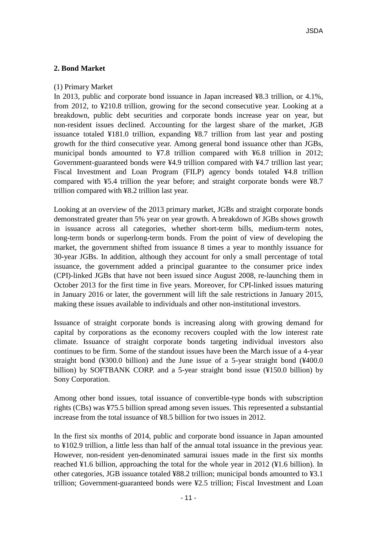### **2. Bond Market**

#### (1) Primary Market

In 2013, public and corporate bond issuance in Japan increased ¥8.3 trillion, or 4.1%, from 2012, to ¥210.8 trillion, growing for the second consecutive year. Looking at a breakdown, public debt securities and corporate bonds increase year on year, but non-resident issues declined. Accounting for the largest share of the market, JGB issuance totaled ¥181.0 trillion, expanding ¥8.7 trillion from last year and posting growth for the third consecutive year. Among general bond issuance other than JGBs, municipal bonds amounted to ¥7.8 trillion compared with ¥6.8 trillion in 2012; Government-guaranteed bonds were ¥4.9 trillion compared with ¥4.7 trillion last year; Fiscal Investment and Loan Program (FILP) agency bonds totaled ¥4.8 trillion compared with ¥5.4 trillion the year before; and straight corporate bonds were ¥8.7 trillion compared with ¥8.2 trillion last year.

Looking at an overview of the 2013 primary market, JGBs and straight corporate bonds demonstrated greater than 5% year on year growth. A breakdown of JGBs shows growth in issuance across all categories, whether short-term bills, medium-term notes, long-term bonds or superlong-term bonds. From the point of view of developing the market, the government shifted from issuance 8 times a year to monthly issuance for 30-year JGBs. In addition, although they account for only a small percentage of total issuance, the government added a principal guarantee to the consumer price index (CPI)-linked JGBs that have not been issued since August 2008, re-launching them in October 2013 for the first time in five years. Moreover, for CPI-linked issues maturing in January 2016 or later, the government will lift the sale restrictions in January 2015, making these issues available to individuals and other non-institutional investors.

Issuance of straight corporate bonds is increasing along with growing demand for capital by corporations as the economy recovers coupled with the low interest rate climate. Issuance of straight corporate bonds targeting individual investors also continues to be firm. Some of the standout issues have been the March issue of a 4-year straight bond (¥300.0 billion) and the June issue of a 5-year straight bond (¥400.0 billion) by SOFTBANK CORP. and a 5-year straight bond issue (¥150.0 billion) by Sony Corporation.

Among other bond issues, total issuance of convertible-type bonds with subscription rights (CBs) was ¥75.5 billion spread among seven issues. This represented a substantial increase from the total issuance of ¥8.5 billion for two issues in 2012.

In the first six months of 2014, public and corporate bond issuance in Japan amounted to ¥102.9 trillion, a little less than half of the annual total issuance in the previous year. However, non-resident yen-denominated samurai issues made in the first six months reached ¥1.6 billion, approaching the total for the whole year in 2012 (¥1.6 billion). In other categories, JGB issuance totaled ¥88.2 trillion; municipal bonds amounted to ¥3.1 trillion; Government-guaranteed bonds were ¥2.5 trillion; Fiscal Investment and Loan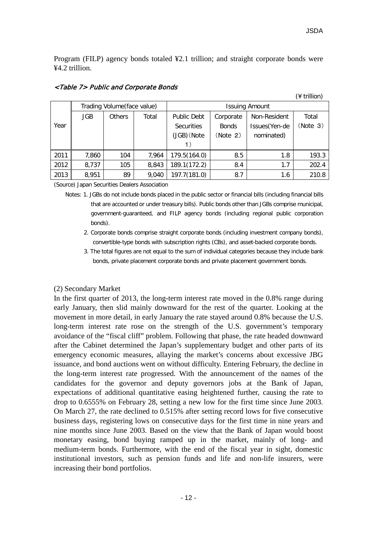(¥ trillion)

Program (FILP) agency bonds totaled ¥2.1 trillion; and straight corporate bonds were ¥4.2 trillion.

|      |            | Trading Volume(face value) |       | <b>Issuing Amount</b> |              |               |          |  |  |  |
|------|------------|----------------------------|-------|-----------------------|--------------|---------------|----------|--|--|--|
|      | <b>JGB</b> | Total<br><b>Others</b>     |       | <b>Public Debt</b>    | Corporate    | Non-Resident  | Total    |  |  |  |
| Year |            |                            |       | <b>Securities</b>     | <b>Bonds</b> | Issues(Yen-de | (Note 3) |  |  |  |
|      |            |                            |       | (JGB) (Note           | (Note 2)     | nominated)    |          |  |  |  |
|      |            |                            |       |                       |              |               |          |  |  |  |
| 2011 | 7,860      | 104                        | 7,964 | 179.5(164.0)          | 8.5          | 1.8           | 193.3    |  |  |  |
| 2012 | 8,737      | 105                        | 8,843 | 189.1(172.2)          | 8.4          | 1.7           | 202.4    |  |  |  |
| 2013 | 8,951      | 89                         | 9,040 | 197.7(181.0)          | 8.7          | 1.6           | 210.8    |  |  |  |

#### <Table 7> Public and Corporate Bonds

(Source) Japan Securities Dealers Association

- Notes: 1. JGBs do not include bonds placed in the public sector or financial bills (including financial bills that are accounted or under treasury bills). Public bonds other than JGBs comprise municipal, government-guaranteed, and FILP agency bonds (including regional public corporation bonds).
	- 2. Corporate bonds comprise straight corporate bonds (including investment company bonds), convertible-type bonds with subscription rights (CBs), and asset-backed corporate bonds.
	- 3. The total figures are not equal to the sum of individual categories because they include bank bonds, private placement corporate bonds and private placement government bonds.

#### (2) Secondary Market

In the first quarter of 2013, the long-term interest rate moved in the 0.8% range during early January, then slid mainly downward for the rest of the quarter. Looking at the movement in more detail, in early January the rate stayed around 0.8% because the U.S. long-term interest rate rose on the strength of the U.S. government's temporary avoidance of the "fiscal cliff" problem. Following that phase, the rate headed downward after the Cabinet determined the Japan's supplementary budget and other parts of its emergency economic measures, allaying the market's concerns about excessive JBG issuance, and bond auctions went on without difficulty. Entering February, the decline in the long-term interest rate progressed. With the announcement of the names of the candidates for the governor and deputy governors jobs at the Bank of Japan, expectations of additional quantitative easing heightened further, causing the rate to drop to 0.6555% on February 28, setting a new low for the first time since June 2003. On March 27, the rate declined to 0.515% after setting record lows for five consecutive business days, registering lows on consecutive days for the first time in nine years and nine months since June 2003. Based on the view that the Bank of Japan would boost monetary easing, bond buying ramped up in the market, mainly of long- and medium-term bonds. Furthermore, with the end of the fiscal year in sight, domestic institutional investors, such as pension funds and life and non-life insurers, were increasing their bond portfolios.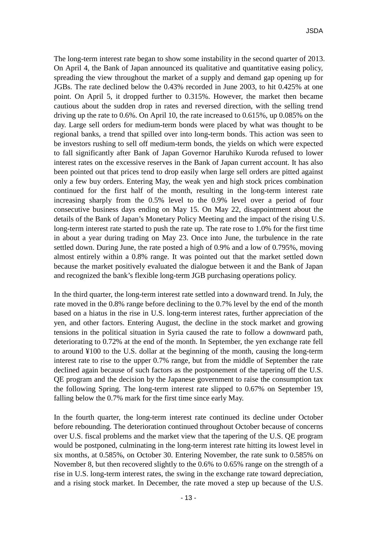The long-term interest rate began to show some instability in the second quarter of 2013. On April 4, the Bank of Japan announced its qualitative and quantitative easing policy, spreading the view throughout the market of a supply and demand gap opening up for JGBs. The rate declined below the 0.43% recorded in June 2003, to hit 0.425% at one point. On April 5, it dropped further to 0.315%. However, the market then became cautious about the sudden drop in rates and reversed direction, with the selling trend driving up the rate to 0.6%. On April 10, the rate increased to 0.615%, up 0.085% on the day. Large sell orders for medium-term bonds were placed by what was thought to be regional banks, a trend that spilled over into long-term bonds. This action was seen to be investors rushing to sell off medium-term bonds, the yields on which were expected to fall significantly after Bank of Japan Governor Haruhiko Kuroda refused to lower interest rates on the excessive reserves in the Bank of Japan current account. It has also been pointed out that prices tend to drop easily when large sell orders are pitted against only a few buy orders. Entering May, the weak yen and high stock prices combination continued for the first half of the month, resulting in the long-term interest rate increasing sharply from the 0.5% level to the 0.9% level over a period of four consecutive business days ending on May 15. On May 22, disappointment about the details of the Bank of Japan's Monetary Policy Meeting and the impact of the rising U.S. long-term interest rate started to push the rate up. The rate rose to 1.0% for the first time in about a year during trading on May 23. Once into June, the turbulence in the rate settled down. During June, the rate posted a high of 0.9% and a low of 0.795%, moving almost entirely within a 0.8% range. It was pointed out that the market settled down because the market positively evaluated the dialogue between it and the Bank of Japan and recognized the bank's flexible long-term JGB purchasing operations policy.

In the third quarter, the long-term interest rate settled into a downward trend. In July, the rate moved in the 0.8% range before declining to the 0.7% level by the end of the month based on a hiatus in the rise in U.S. long-term interest rates, further appreciation of the yen, and other factors. Entering August, the decline in the stock market and growing tensions in the political situation in Syria caused the rate to follow a downward path, deteriorating to 0.72% at the end of the month. In September, the yen exchange rate fell to around ¥100 to the U.S. dollar at the beginning of the month, causing the long-term interest rate to rise to the upper 0.7% range, but from the middle of September the rate declined again because of such factors as the postponement of the tapering off the U.S. QE program and the decision by the Japanese government to raise the consumption tax the following Spring. The long-term interest rate slipped to 0.67% on September 19, falling below the 0.7% mark for the first time since early May.

In the fourth quarter, the long-term interest rate continued its decline under October before rebounding. The deterioration continued throughout October because of concerns over U.S. fiscal problems and the market view that the tapering of the U.S. QE program would be postponed, culminating in the long-term interest rate hitting its lowest level in six months, at 0.585%, on October 30. Entering November, the rate sunk to 0.585% on November 8, but then recovered slightly to the 0.6% to 0.65% range on the strength of a rise in U.S. long-term interest rates, the swing in the exchange rate toward depreciation, and a rising stock market. In December, the rate moved a step up because of the U.S.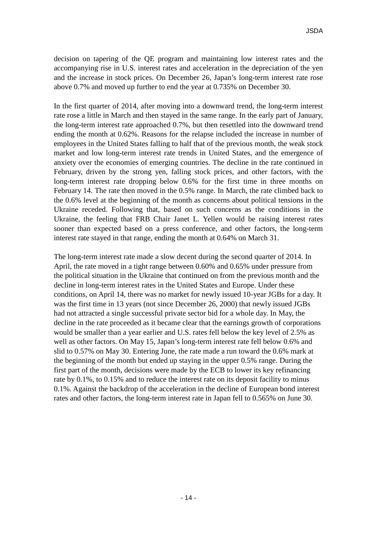decision on tapering of the QE program and maintaining low interest rates and the accompanying rise in U.S. interest rates and acceleration in the depreciation of the yen and the increase in stock prices. On December 26, Japan's long-term interest rate rose above 0.7% and moved up further to end the year at 0.735% on December 30.

In the first quarter of 2014, after moving into a downward trend, the long-term interest rate rose a little in March and then stayed in the same range. In the early part of January, the long-term interest rate approached 0.7%, but then resettled into the downward trend ending the month at 0.62%. Reasons for the relapse included the increase in number of employees in the United States falling to half that of the previous month, the weak stock market and low long-term interest rate trends in United States, and the emergence of anxiety over the economies of emerging countries. The decline in the rate continued in February, driven by the strong yen, falling stock prices, and other factors, with the long-term interest rate dropping below 0.6% for the first time in three months on February 14. The rate then moved in the 0.5% range. In March, the rate climbed back to the 0.6% level at the beginning of the month as concerns about political tensions in the Ukraine receded. Following that, based on such concerns as the conditions in the Ukraine, the feeling that FRB Chair Janet L. Yellen would be raising interest rates sooner than expected based on a press conference, and other factors, the long-term interest rate stayed in that range, ending the month at 0.64% on March 31.

The long-term interest rate made a slow decent during the second quarter of 2014. In April, the rate moved in a tight range between 0.60% and 0.65% under pressure from the political situation in the Ukraine that continued on from the previous month and the decline in long-term interest rates in the United States and Europe. Under these conditions, on April 14, there was no market for newly issued 10-year JGBs for a day. It was the first time in 13 years (not since December 26, 2000) that newly issued JGBs had not attracted a single successful private sector bid for a whole day. In May, the decline in the rate proceeded as it became clear that the earnings growth of corporations would be smaller than a year earlier and U.S. rates fell below the key level of 2.5% as well as other factors. On May 15, Japan's long-term interest rate fell below 0.6% and slid to 0.57% on May 30. Entering June, the rate made a run toward the 0.6% mark at the beginning of the month but ended up staying in the upper 0.5% range. During the first part of the month, decisions were made by the ECB to lower its key refinancing rate by 0.1%, to 0.15% and to reduce the interest rate on its deposit facility to minus 0.1%. Against the backdrop of the acceleration in the decline of European bond interest rates and other factors, the long-term interest rate in Japan fell to 0.565% on June 30.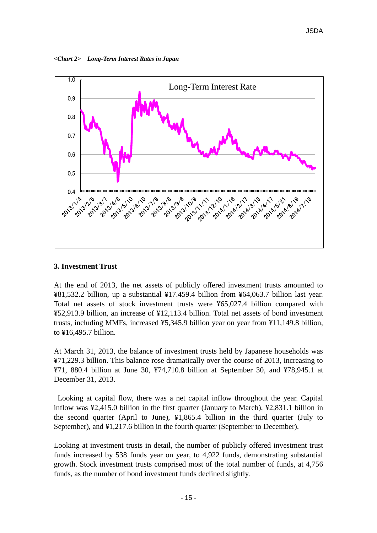*<Chart 2> Long-Term Interest Rates in Japan*



### **3. Investment Trust**

At the end of 2013, the net assets of publicly offered investment trusts amounted to ¥81,532.2 billion, up a substantial ¥17.459.4 billion from ¥64,063.7 billion last year. Total net assets of stock investment trusts were ¥65,027.4 billion compared with ¥52,913.9 billion, an increase of ¥12,113.4 billion. Total net assets of bond investment trusts, including MMFs, increased ¥5,345.9 billion year on year from ¥11,149.8 billion, to ¥16,495.7 billion.

At March 31, 2013, the balance of investment trusts held by Japanese households was ¥71,229.3 billion. This balance rose dramatically over the course of 2013, increasing to ¥71, 880.4 billion at June 30, ¥74,710.8 billion at September 30, and ¥78,945.1 at December 31, 2013.

Looking at capital flow, there was a net capital inflow throughout the year. Capital inflow was ¥2,415.0 billion in the first quarter (January to March), ¥2,831.1 billion in the second quarter (April to June), ¥1,865.4 billion in the third quarter (July to September), and ¥1,217.6 billion in the fourth quarter (September to December).

Looking at investment trusts in detail, the number of publicly offered investment trust funds increased by 538 funds year on year, to 4,922 funds, demonstrating substantial growth. Stock investment trusts comprised most of the total number of funds, at 4,756 funds, as the number of bond investment funds declined slightly.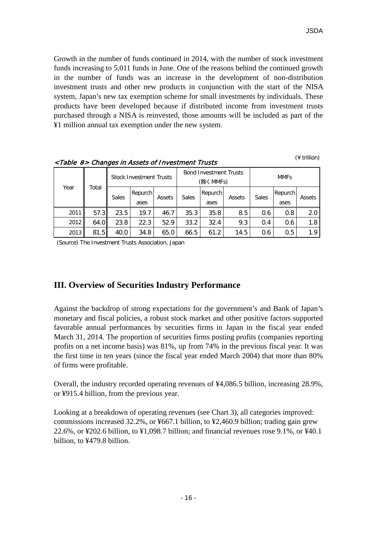Growth in the number of funds continued in 2014, with the number of stock investment funds increasing to 5,011 funds in June. One of the reasons behind the continued growth in the number of funds was an increase in the development of non-distribution investment trusts and other new products in conjunction with the start of the NISA system, Japan's new tax exemption scheme for small investments by individuals. These products have been developed because if distributed income from investment trusts purchased through a NISA is reinvested, those amounts will be included as part of the ¥1 million annual tax exemption under the new system.

|      |       | <b>Stock Investment Trusts</b> |                 |        |              | <b>Bond Investment Trusts</b><br>(除く MMFs) |        | <b>MMFs</b>  |                 |        |  |
|------|-------|--------------------------------|-----------------|--------|--------------|--------------------------------------------|--------|--------------|-----------------|--------|--|
| Year | Total | <b>Sales</b>                   | Repurch<br>ases | Assets | <b>Sales</b> | Repurch<br>ases                            | Assets | <b>Sales</b> | Repurch<br>ases | Assets |  |
| 2011 | 57.3  | 23.5                           | 19.7            | 46.7   | 35.3         | 35.8                                       | 8.5    | 0.6          | 0.8             | 2.0    |  |
| 2012 | 64.0  | 23.8                           | 22.3            | 52.9   | 33.2         | 32.4                                       | 9.3    | 0.4          | 0.6             | 1.8    |  |
| 2013 | 81.5  | 40.0                           | 34.8            | 65.0   | 66.5         | 61.2                                       | 14.5   | 0.6          | 0.5             | 1.9    |  |

<Table 8> Changes in Assets of Investment Trusts (¥ trillion)

(Source) The Investment Trusts Association, Japan

# **III. Overview of Securities Industry Performance**

Against the backdrop of strong expectations for the government's and Bank of Japan's monetary and fiscal policies, a robust stock market and other positive factors supported favorable annual performances by securities firms in Japan in the fiscal year ended March 31, 2014. The proportion of securities firms posting profits (companies reporting profits on a net income basis) was 81%, up from 74% in the previous fiscal year. It was the first time in ten years (since the fiscal year ended March 2004) that more than 80% of firms were profitable.

Overall, the industry recorded operating revenues of ¥4,086.5 billion, increasing 28.9%, or ¥915.4 billion, from the previous year.

Looking at a breakdown of operating revenues (see Chart 3), all categories improved: commissions increased 32.2%, or ¥667.1 billion, to ¥2,460.9 billion; trading gain grew 22.6%, or ¥202.6 billion, to ¥1,098.7 billion; and financial revenues rose 9.1%, or ¥40.1 billion, to ¥479.8 billion.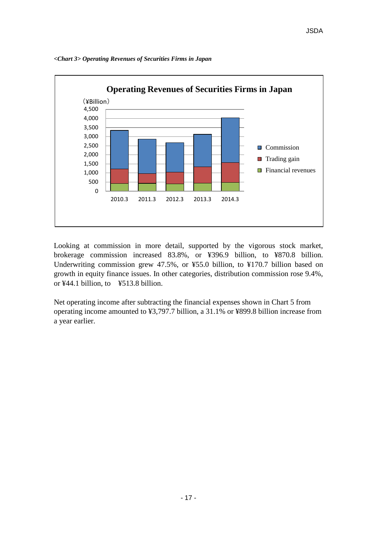

*<Chart 3> Operating Revenues of Securities Firms in Japan* 

Looking at commission in more detail, supported by the vigorous stock market, brokerage commission increased 83.8%, or ¥396.9 billion, to ¥870.8 billion. Underwriting commission grew 47.5%, or ¥55.0 billion, to ¥170.7 billion based on growth in equity finance issues. In other categories, distribution commission rose 9.4%, or ¥44.1 billion, to ¥513.8 billion.

Net operating income after subtracting the financial expenses shown in Chart 5 from operating income amounted to ¥3,797.7 billion, a 31.1% or ¥899.8 billion increase from a year earlier.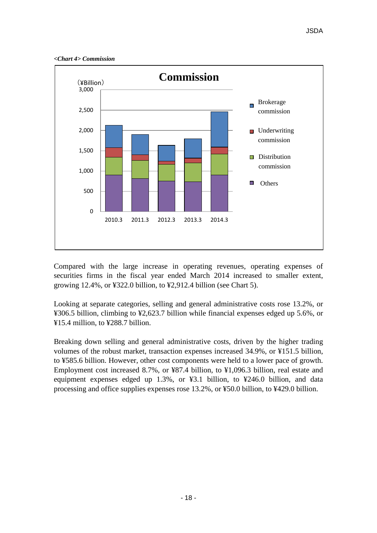*<Chart 4> Commission*



Compared with the large increase in operating revenues, operating expenses of securities firms in the fiscal year ended March 2014 increased to smaller extent, growing 12.4%, or ¥322.0 billion, to ¥2,912.4 billion (see Chart 5).

Looking at separate categories, selling and general administrative costs rose 13.2%, or ¥306.5 billion, climbing to ¥2,623.7 billion while financial expenses edged up 5.6%, or ¥15.4 million, to ¥288.7 billion.

Breaking down selling and general administrative costs, driven by the higher trading volumes of the robust market, transaction expenses increased 34.9%, or ¥151.5 billion, to ¥585.6 billion. However, other cost components were held to a lower pace of growth. Employment cost increased 8.7%, or ¥87.4 billion, to ¥1,096.3 billion, real estate and equipment expenses edged up 1.3%, or ¥3.1 billion, to ¥246.0 billion, and data processing and office supplies expenses rose 13.2%, or ¥50.0 billion, to ¥429.0 billion.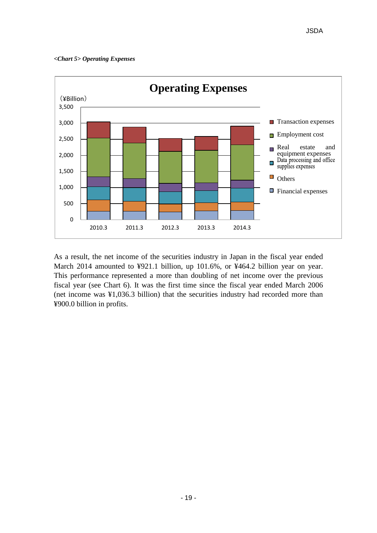#### *<Chart 5> Operating Expenses*



As a result, the net income of the securities industry in Japan in the fiscal year ended March 2014 amounted to ¥921.1 billion, up 101.6%, or ¥464.2 billion year on year. This performance represented a more than doubling of net income over the previous fiscal year (see Chart 6). It was the first time since the fiscal year ended March 2006 (net income was ¥1,036.3 billion) that the securities industry had recorded more than ¥900.0 billion in profits.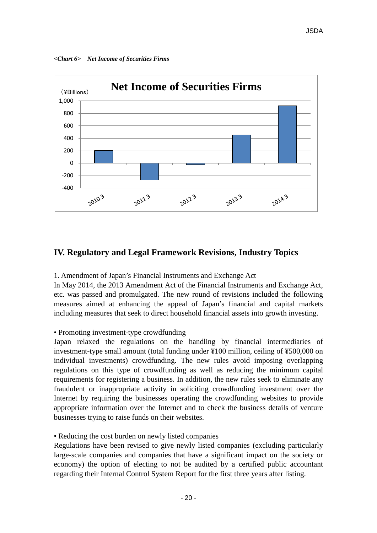*<Chart 6> Net Income of Securities Firms*



# **IV. Regulatory and Legal Framework Revisions, Industry Topics**

1. Amendment of Japan's Financial Instruments and Exchange Act

In May 2014, the 2013 Amendment Act of the Financial Instruments and Exchange Act, etc. was passed and promulgated. The new round of revisions included the following measures aimed at enhancing the appeal of Japan's financial and capital markets including measures that seek to direct household financial assets into growth investing.

# • Promoting investment-type crowdfunding

Japan relaxed the regulations on the handling by financial intermediaries of investment-type small amount (total funding under ¥100 million, ceiling of ¥500,000 on individual investments) crowdfunding. The new rules avoid imposing overlapping regulations on this type of crowdfunding as well as reducing the minimum capital requirements for registering a business. In addition, the new rules seek to eliminate any fraudulent or inappropriate activity in soliciting crowdfunding investment over the Internet by requiring the businesses operating the crowdfunding websites to provide appropriate information over the Internet and to check the business details of venture businesses trying to raise funds on their websites.

# • Reducing the cost burden on newly listed companies

Regulations have been revised to give newly listed companies (excluding particularly large-scale companies and companies that have a significant impact on the society or economy) the option of electing to not be audited by a certified public accountant regarding their Internal Control System Report for the first three years after listing.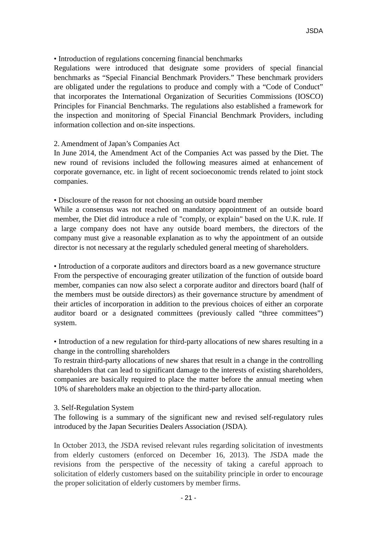### • Introduction of regulations concerning financial benchmarks

Regulations were introduced that designate some providers of special financial benchmarks as "Special Financial Benchmark Providers." These benchmark providers are obligated under the regulations to produce and comply with a "Code of Conduct" that incorporates the International Organization of Securities Commissions (IOSCO) Principles for Financial Benchmarks. The regulations also established a framework for the inspection and monitoring of Special Financial Benchmark Providers, including information collection and on-site inspections.

#### 2. Amendment of Japan's Companies Act

In June 2014, the Amendment Act of the Companies Act was passed by the Diet. The new round of revisions included the following measures aimed at enhancement of corporate governance, etc. in light of recent socioeconomic trends related to joint stock companies.

• Disclosure of the reason for not choosing an outside board member

While a consensus was not reached on mandatory appointment of an outside board member, the Diet did introduce a rule of "comply, or explain" based on the U.K. rule. If a large company does not have any outside board members, the directors of the company must give a reasonable explanation as to why the appointment of an outside director is not necessary at the regularly scheduled general meeting of shareholders.

• Introduction of a corporate auditors and directors board as a new governance structure From the perspective of encouraging greater utilization of the function of outside board member, companies can now also select a corporate auditor and directors board (half of the members must be outside directors) as their governance structure by amendment of their articles of incorporation in addition to the previous choices of either an corporate auditor board or a designated committees (previously called "three committees") system.

• Introduction of a new regulation for third-party allocations of new shares resulting in a change in the controlling shareholders

To restrain third-party allocations of new shares that result in a change in the controlling shareholders that can lead to significant damage to the interests of existing shareholders, companies are basically required to place the matter before the annual meeting when 10% of shareholders make an objection to the third-party allocation.

#### 3. Self-Regulation System

The following is a summary of the significant new and revised self-regulatory rules introduced by the Japan Securities Dealers Association (JSDA).

In October 2013, the JSDA revised relevant rules regarding solicitation of investments from elderly customers (enforced on December 16, 2013). The JSDA made the revisions from the perspective of the necessity of taking a careful approach to solicitation of elderly customers based on the suitability principle in order to encourage the proper solicitation of elderly customers by member firms.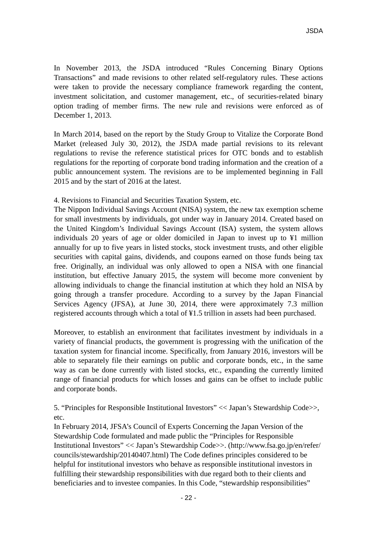In November 2013, the JSDA introduced "Rules Concerning Binary Options Transactions" and made revisions to other related self-regulatory rules. These actions were taken to provide the necessary compliance framework regarding the content, investment solicitation, and customer management, etc., of securities-related binary option trading of member firms. The new rule and revisions were enforced as of December 1, 2013.

In March 2014, based on the report by the Study Group to Vitalize the Corporate Bond Market (released July 30, 2012), the JSDA made partial revisions to its relevant regulations to revise the reference statistical prices for OTC bonds and to establish regulations for the reporting of corporate bond trading information and the creation of a public announcement system. The revisions are to be implemented beginning in Fall 2015 and by the start of 2016 at the latest.

4. Revisions to Financial and Securities Taxation System, etc.

The Nippon Individual Savings Account (NISA) system, the new tax exemption scheme for small investments by individuals, got under way in January 2014. Created based on the United Kingdom's Individual Savings Account (ISA) system, the system allows individuals 20 years of age or older domiciled in Japan to invest up to ¥1 million annually for up to five years in listed stocks, stock investment trusts, and other eligible securities with capital gains, dividends, and coupons earned on those funds being tax free. Originally, an individual was only allowed to open a NISA with one financial institution, but effective January 2015, the system will become more convenient by allowing individuals to change the financial institution at which they hold an NISA by going through a transfer procedure. According to a survey by the Japan Financial Services Agency (JFSA), at June 30, 2014, there were approximately 7.3 million registered accounts through which a total of ¥1.5 trillion in assets had been purchased.

Moreover, to establish an environment that facilitates investment by individuals in a variety of financial products, the government is progressing with the unification of the taxation system for financial income. Specifically, from January 2016, investors will be able to separately file their earnings on public and corporate bonds, etc., in the same way as can be done currently with listed stocks, etc., expanding the currently limited range of financial products for which losses and gains can be offset to include public and corporate bonds.

5. "Principles for Responsible Institutional Investors" << Japan's Stewardship Code>>, etc.

In February 2014, JFSA's Council of Experts Concerning the Japan Version of the Stewardship Code formulated and made public the "Principles for Responsible Institutional Investors" << Japan's Stewardship Code>>. (http://www.fsa.go.jp/en/refer/ councils/stewardship/20140407.html) The Code defines principles considered to be helpful for institutional investors who behave as responsible institutional investors in fulfilling their stewardship responsibilities with due regard both to their clients and beneficiaries and to investee companies. In this Code, "stewardship responsibilities"